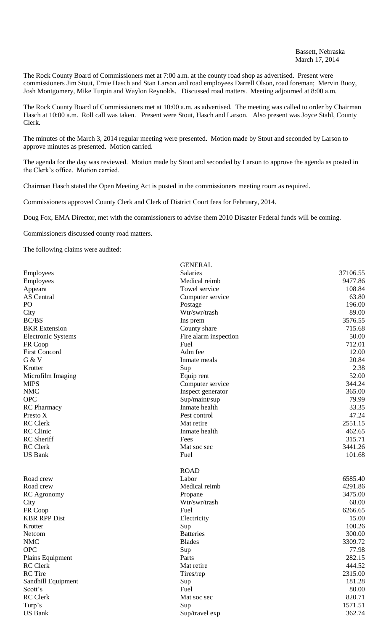The Rock County Board of Commissioners met at 7:00 a.m. at the county road shop as advertised. Present were commissioners Jim Stout, Ernie Hasch and Stan Larson and road employees Darrell Olson, road foreman; Mervin Buoy, Josh Montgomery, Mike Turpin and Waylon Reynolds. Discussed road matters. Meeting adjourned at 8:00 a.m.

The Rock County Board of Commissioners met at 10:00 a.m. as advertised. The meeting was called to order by Chairman Hasch at 10:00 a.m. Roll call was taken. Present were Stout, Hasch and Larson. Also present was Joyce Stahl, County Clerk.

The minutes of the March 3, 2014 regular meeting were presented. Motion made by Stout and seconded by Larson to approve minutes as presented. Motion carried.

The agenda for the day was reviewed. Motion made by Stout and seconded by Larson to approve the agenda as posted in the Clerk's office. Motion carried.

Chairman Hasch stated the Open Meeting Act is posted in the commissioners meeting room as required.

Commissioners approved County Clerk and Clerk of District Court fees for February, 2014.

Doug Fox, EMA Director, met with the commissioners to advise them 2010 Disaster Federal funds will be coming.

Commissioners discussed county road matters.

The following claims were audited:

| Salaries<br>37106.55<br>Employees<br>Employees<br>Medical reimb<br>9477.86<br>Towel service<br>108.84<br>Appeara<br>63.80<br><b>AS</b> Central<br>Computer service<br>196.00<br>PO<br>Postage<br>89.00<br>City<br>Wtr/swr/trash<br>3576.55<br><b>BC/BS</b><br>Ins prem<br><b>BKR</b> Extension<br>715.68<br>County share<br>50.00<br><b>Electronic Systems</b><br>Fire alarm inspection<br>FR Coop<br>Fuel<br>712.01<br>12.00<br>Adm fee<br>G & V<br>20.84<br>Inmate meals<br>Sup<br>2.38<br>Krotter<br>52.00<br>Microfilm Imaging<br>Equip rent<br>344.24<br><b>MIPS</b><br>Computer service<br>365.00<br><b>NMC</b><br>Inspect generator<br><b>OPC</b><br>79.99<br>Sup/maint/sup<br>RC Pharmacy<br>33.35<br>Inmate health<br>47.24<br>Presto X<br>Pest control<br>2551.15<br><b>RC</b> Clerk<br>Mat retire<br>Inmate health<br>462.65<br><b>RC</b> Sheriff<br>315.71<br>Fees<br><b>RC</b> Clerk<br>3441.26<br>Mat soc sec<br><b>US Bank</b><br>101.68<br>Fuel<br><b>ROAD</b><br>6585.40<br>Road crew<br>Labor<br>Medical reimb<br>4291.86<br>Road crew<br>3475.00<br>RC Agronomy<br>Propane<br>Wtr/swr/trash<br>68.00<br>City<br>FR Coop<br>6266.65<br>Fuel<br>15.00<br><b>KBR RPP Dist</b><br>Electricity<br>100.26<br>Krotter<br>Sup<br>300.00<br><b>Batteries</b><br>Netcom<br>3309.72<br><b>NMC</b><br><b>Blades</b><br><b>OPC</b><br>Sup<br>77.98<br>282.15<br>Plains Equipment<br>Parts<br><b>RC</b> Clerk<br>444.52<br>Mat retire<br><b>RC</b> Tire<br>2315.00<br>Tires/rep<br>181.28<br>Sandhill Equipment<br>Sup<br>80.00<br>Scott's<br>Fuel<br><b>RC</b> Clerk<br>820.71<br>Mat soc sec<br>1571.51<br>Turp's<br>Sup<br><b>US Bank</b><br>Sup/travel exp<br>362.74 |                      | <b>GENERAL</b> |  |
|-------------------------------------------------------------------------------------------------------------------------------------------------------------------------------------------------------------------------------------------------------------------------------------------------------------------------------------------------------------------------------------------------------------------------------------------------------------------------------------------------------------------------------------------------------------------------------------------------------------------------------------------------------------------------------------------------------------------------------------------------------------------------------------------------------------------------------------------------------------------------------------------------------------------------------------------------------------------------------------------------------------------------------------------------------------------------------------------------------------------------------------------------------------------------------------------------------------------------------------------------------------------------------------------------------------------------------------------------------------------------------------------------------------------------------------------------------------------------------------------------------------------------------------------------------------------------------------------------------------------------------------------------------------------------------|----------------------|----------------|--|
|                                                                                                                                                                                                                                                                                                                                                                                                                                                                                                                                                                                                                                                                                                                                                                                                                                                                                                                                                                                                                                                                                                                                                                                                                                                                                                                                                                                                                                                                                                                                                                                                                                                                               |                      |                |  |
|                                                                                                                                                                                                                                                                                                                                                                                                                                                                                                                                                                                                                                                                                                                                                                                                                                                                                                                                                                                                                                                                                                                                                                                                                                                                                                                                                                                                                                                                                                                                                                                                                                                                               |                      |                |  |
|                                                                                                                                                                                                                                                                                                                                                                                                                                                                                                                                                                                                                                                                                                                                                                                                                                                                                                                                                                                                                                                                                                                                                                                                                                                                                                                                                                                                                                                                                                                                                                                                                                                                               |                      |                |  |
|                                                                                                                                                                                                                                                                                                                                                                                                                                                                                                                                                                                                                                                                                                                                                                                                                                                                                                                                                                                                                                                                                                                                                                                                                                                                                                                                                                                                                                                                                                                                                                                                                                                                               |                      |                |  |
|                                                                                                                                                                                                                                                                                                                                                                                                                                                                                                                                                                                                                                                                                                                                                                                                                                                                                                                                                                                                                                                                                                                                                                                                                                                                                                                                                                                                                                                                                                                                                                                                                                                                               |                      |                |  |
|                                                                                                                                                                                                                                                                                                                                                                                                                                                                                                                                                                                                                                                                                                                                                                                                                                                                                                                                                                                                                                                                                                                                                                                                                                                                                                                                                                                                                                                                                                                                                                                                                                                                               |                      |                |  |
|                                                                                                                                                                                                                                                                                                                                                                                                                                                                                                                                                                                                                                                                                                                                                                                                                                                                                                                                                                                                                                                                                                                                                                                                                                                                                                                                                                                                                                                                                                                                                                                                                                                                               |                      |                |  |
|                                                                                                                                                                                                                                                                                                                                                                                                                                                                                                                                                                                                                                                                                                                                                                                                                                                                                                                                                                                                                                                                                                                                                                                                                                                                                                                                                                                                                                                                                                                                                                                                                                                                               |                      |                |  |
|                                                                                                                                                                                                                                                                                                                                                                                                                                                                                                                                                                                                                                                                                                                                                                                                                                                                                                                                                                                                                                                                                                                                                                                                                                                                                                                                                                                                                                                                                                                                                                                                                                                                               |                      |                |  |
|                                                                                                                                                                                                                                                                                                                                                                                                                                                                                                                                                                                                                                                                                                                                                                                                                                                                                                                                                                                                                                                                                                                                                                                                                                                                                                                                                                                                                                                                                                                                                                                                                                                                               |                      |                |  |
|                                                                                                                                                                                                                                                                                                                                                                                                                                                                                                                                                                                                                                                                                                                                                                                                                                                                                                                                                                                                                                                                                                                                                                                                                                                                                                                                                                                                                                                                                                                                                                                                                                                                               | <b>First Concord</b> |                |  |
|                                                                                                                                                                                                                                                                                                                                                                                                                                                                                                                                                                                                                                                                                                                                                                                                                                                                                                                                                                                                                                                                                                                                                                                                                                                                                                                                                                                                                                                                                                                                                                                                                                                                               |                      |                |  |
|                                                                                                                                                                                                                                                                                                                                                                                                                                                                                                                                                                                                                                                                                                                                                                                                                                                                                                                                                                                                                                                                                                                                                                                                                                                                                                                                                                                                                                                                                                                                                                                                                                                                               |                      |                |  |
|                                                                                                                                                                                                                                                                                                                                                                                                                                                                                                                                                                                                                                                                                                                                                                                                                                                                                                                                                                                                                                                                                                                                                                                                                                                                                                                                                                                                                                                                                                                                                                                                                                                                               |                      |                |  |
|                                                                                                                                                                                                                                                                                                                                                                                                                                                                                                                                                                                                                                                                                                                                                                                                                                                                                                                                                                                                                                                                                                                                                                                                                                                                                                                                                                                                                                                                                                                                                                                                                                                                               |                      |                |  |
|                                                                                                                                                                                                                                                                                                                                                                                                                                                                                                                                                                                                                                                                                                                                                                                                                                                                                                                                                                                                                                                                                                                                                                                                                                                                                                                                                                                                                                                                                                                                                                                                                                                                               |                      |                |  |
|                                                                                                                                                                                                                                                                                                                                                                                                                                                                                                                                                                                                                                                                                                                                                                                                                                                                                                                                                                                                                                                                                                                                                                                                                                                                                                                                                                                                                                                                                                                                                                                                                                                                               |                      |                |  |
|                                                                                                                                                                                                                                                                                                                                                                                                                                                                                                                                                                                                                                                                                                                                                                                                                                                                                                                                                                                                                                                                                                                                                                                                                                                                                                                                                                                                                                                                                                                                                                                                                                                                               |                      |                |  |
|                                                                                                                                                                                                                                                                                                                                                                                                                                                                                                                                                                                                                                                                                                                                                                                                                                                                                                                                                                                                                                                                                                                                                                                                                                                                                                                                                                                                                                                                                                                                                                                                                                                                               |                      |                |  |
|                                                                                                                                                                                                                                                                                                                                                                                                                                                                                                                                                                                                                                                                                                                                                                                                                                                                                                                                                                                                                                                                                                                                                                                                                                                                                                                                                                                                                                                                                                                                                                                                                                                                               |                      |                |  |
|                                                                                                                                                                                                                                                                                                                                                                                                                                                                                                                                                                                                                                                                                                                                                                                                                                                                                                                                                                                                                                                                                                                                                                                                                                                                                                                                                                                                                                                                                                                                                                                                                                                                               | RC Clinic            |                |  |
|                                                                                                                                                                                                                                                                                                                                                                                                                                                                                                                                                                                                                                                                                                                                                                                                                                                                                                                                                                                                                                                                                                                                                                                                                                                                                                                                                                                                                                                                                                                                                                                                                                                                               |                      |                |  |
|                                                                                                                                                                                                                                                                                                                                                                                                                                                                                                                                                                                                                                                                                                                                                                                                                                                                                                                                                                                                                                                                                                                                                                                                                                                                                                                                                                                                                                                                                                                                                                                                                                                                               |                      |                |  |
|                                                                                                                                                                                                                                                                                                                                                                                                                                                                                                                                                                                                                                                                                                                                                                                                                                                                                                                                                                                                                                                                                                                                                                                                                                                                                                                                                                                                                                                                                                                                                                                                                                                                               |                      |                |  |
|                                                                                                                                                                                                                                                                                                                                                                                                                                                                                                                                                                                                                                                                                                                                                                                                                                                                                                                                                                                                                                                                                                                                                                                                                                                                                                                                                                                                                                                                                                                                                                                                                                                                               |                      |                |  |
|                                                                                                                                                                                                                                                                                                                                                                                                                                                                                                                                                                                                                                                                                                                                                                                                                                                                                                                                                                                                                                                                                                                                                                                                                                                                                                                                                                                                                                                                                                                                                                                                                                                                               |                      |                |  |
|                                                                                                                                                                                                                                                                                                                                                                                                                                                                                                                                                                                                                                                                                                                                                                                                                                                                                                                                                                                                                                                                                                                                                                                                                                                                                                                                                                                                                                                                                                                                                                                                                                                                               |                      |                |  |
|                                                                                                                                                                                                                                                                                                                                                                                                                                                                                                                                                                                                                                                                                                                                                                                                                                                                                                                                                                                                                                                                                                                                                                                                                                                                                                                                                                                                                                                                                                                                                                                                                                                                               |                      |                |  |
|                                                                                                                                                                                                                                                                                                                                                                                                                                                                                                                                                                                                                                                                                                                                                                                                                                                                                                                                                                                                                                                                                                                                                                                                                                                                                                                                                                                                                                                                                                                                                                                                                                                                               |                      |                |  |
|                                                                                                                                                                                                                                                                                                                                                                                                                                                                                                                                                                                                                                                                                                                                                                                                                                                                                                                                                                                                                                                                                                                                                                                                                                                                                                                                                                                                                                                                                                                                                                                                                                                                               |                      |                |  |
|                                                                                                                                                                                                                                                                                                                                                                                                                                                                                                                                                                                                                                                                                                                                                                                                                                                                                                                                                                                                                                                                                                                                                                                                                                                                                                                                                                                                                                                                                                                                                                                                                                                                               |                      |                |  |
|                                                                                                                                                                                                                                                                                                                                                                                                                                                                                                                                                                                                                                                                                                                                                                                                                                                                                                                                                                                                                                                                                                                                                                                                                                                                                                                                                                                                                                                                                                                                                                                                                                                                               |                      |                |  |
|                                                                                                                                                                                                                                                                                                                                                                                                                                                                                                                                                                                                                                                                                                                                                                                                                                                                                                                                                                                                                                                                                                                                                                                                                                                                                                                                                                                                                                                                                                                                                                                                                                                                               |                      |                |  |
|                                                                                                                                                                                                                                                                                                                                                                                                                                                                                                                                                                                                                                                                                                                                                                                                                                                                                                                                                                                                                                                                                                                                                                                                                                                                                                                                                                                                                                                                                                                                                                                                                                                                               |                      |                |  |
|                                                                                                                                                                                                                                                                                                                                                                                                                                                                                                                                                                                                                                                                                                                                                                                                                                                                                                                                                                                                                                                                                                                                                                                                                                                                                                                                                                                                                                                                                                                                                                                                                                                                               |                      |                |  |
|                                                                                                                                                                                                                                                                                                                                                                                                                                                                                                                                                                                                                                                                                                                                                                                                                                                                                                                                                                                                                                                                                                                                                                                                                                                                                                                                                                                                                                                                                                                                                                                                                                                                               |                      |                |  |
|                                                                                                                                                                                                                                                                                                                                                                                                                                                                                                                                                                                                                                                                                                                                                                                                                                                                                                                                                                                                                                                                                                                                                                                                                                                                                                                                                                                                                                                                                                                                                                                                                                                                               |                      |                |  |
|                                                                                                                                                                                                                                                                                                                                                                                                                                                                                                                                                                                                                                                                                                                                                                                                                                                                                                                                                                                                                                                                                                                                                                                                                                                                                                                                                                                                                                                                                                                                                                                                                                                                               |                      |                |  |
|                                                                                                                                                                                                                                                                                                                                                                                                                                                                                                                                                                                                                                                                                                                                                                                                                                                                                                                                                                                                                                                                                                                                                                                                                                                                                                                                                                                                                                                                                                                                                                                                                                                                               |                      |                |  |
|                                                                                                                                                                                                                                                                                                                                                                                                                                                                                                                                                                                                                                                                                                                                                                                                                                                                                                                                                                                                                                                                                                                                                                                                                                                                                                                                                                                                                                                                                                                                                                                                                                                                               |                      |                |  |
|                                                                                                                                                                                                                                                                                                                                                                                                                                                                                                                                                                                                                                                                                                                                                                                                                                                                                                                                                                                                                                                                                                                                                                                                                                                                                                                                                                                                                                                                                                                                                                                                                                                                               |                      |                |  |
|                                                                                                                                                                                                                                                                                                                                                                                                                                                                                                                                                                                                                                                                                                                                                                                                                                                                                                                                                                                                                                                                                                                                                                                                                                                                                                                                                                                                                                                                                                                                                                                                                                                                               |                      |                |  |
|                                                                                                                                                                                                                                                                                                                                                                                                                                                                                                                                                                                                                                                                                                                                                                                                                                                                                                                                                                                                                                                                                                                                                                                                                                                                                                                                                                                                                                                                                                                                                                                                                                                                               |                      |                |  |